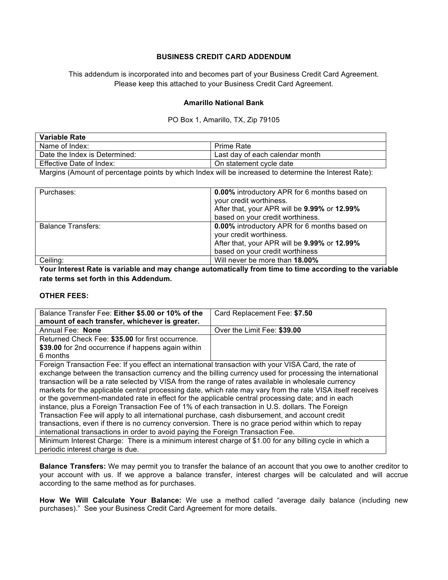## **BUSINESS CREDIT CARD ADDENDUM**

This addendum is incorporated into and becomes part of your Business Credit Card Agreement. Please keep this attached to your Business Credit Card Agreement.

## **Amarillo National Bank**

## PO Box 1, Amarillo, TX, Zip 79105

| Variable Rate                 |                                 |  |
|-------------------------------|---------------------------------|--|
| Name of Index:                | <b>Prime Rate</b>               |  |
| Date the Index is Determined: | Last day of each calendar month |  |
| Effective Date of Index:      | On statement cycle date         |  |

Margins (Amount of percentage points by which Index will be increased to determine the Interest Rate):

| Purchases:                | <b>0.00%</b> introductory APR for 6 months based on<br>your credit worthiness.<br>After that, your APR will be 9.99% or 12.99%<br>based on your credit worthiness. |
|---------------------------|--------------------------------------------------------------------------------------------------------------------------------------------------------------------|
| <b>Balance Transfers:</b> | 0.00% introductory APR for 6 months based on<br>your credit worthiness.<br>After that, your APR will be 9.99% or 12.99%<br>based on your credit worthiness         |
| Ceiling:                  | Will never be more than 18.00%                                                                                                                                     |

**Your Interest Rate is variable and may change automatically from time to time according to the variable rate terms set forth in this Addendum.** 

## **OTHER FEES:**

| Balance Transfer Fee: Either \$5.00 or 10% of the                                                          | Card Replacement Fee: \$7.50 |  |
|------------------------------------------------------------------------------------------------------------|------------------------------|--|
| amount of each transfer, whichever is greater.                                                             |                              |  |
| Annual Fee: None                                                                                           | Over the Limit Fee: \$39.00  |  |
| Returned Check Fee: \$35.00 for first occurrence.                                                          |                              |  |
| \$39.00 for 2nd occurrence if happens again within                                                         |                              |  |
| 6 months                                                                                                   |                              |  |
| Foreign Transaction Fee: If you effect an international transaction with your VISA Card, the rate of       |                              |  |
| exchange between the transaction currency and the billing currency used for processing the international   |                              |  |
| transaction will be a rate selected by VISA from the range of rates available in wholesale currency        |                              |  |
| markets for the applicable central processing date, which rate may vary from the rate VISA itself receives |                              |  |
| or the government-mandated rate in effect for the applicable central processing date; and in each          |                              |  |
| instance, plus a Foreign Transaction Fee of 1% of each transaction in U.S. dollars. The Foreign            |                              |  |
| Transaction Fee will apply to all international purchase, cash disbursement, and account credit            |                              |  |
| transactions, even if there is no currency conversion. There is no grace period within which to repay      |                              |  |
| international transactions in order to avoid paying the Foreign Transaction Fee.                           |                              |  |
| Minimum Interest Charge: There is a minimum interest charge of \$1.00 for any billing cycle in which a     |                              |  |
| periodic interest charge is due.                                                                           |                              |  |

**Balance Transfers:** We may permit you to transfer the balance of an account that you owe to another creditor to your account with us. If we approve a balance transfer, interest charges will be calculated and will accrue according to the same method as for purchases.

**How We Will Calculate Your Balance:** We use a method called "average daily balance (including new purchases)." See your Business Credit Card Agreement for more details.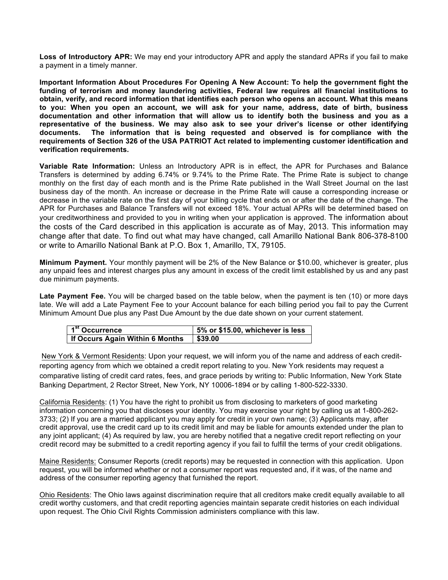**Loss of Introductory APR:** We may end your introductory APR and apply the standard APRs if you fail to make a payment in a timely manner.

**Important Information About Procedures For Opening A New Account: To help the government fight the funding of terrorism and money laundering activities, Federal law requires all financial institutions to obtain, verify, and record information that identifies each person who opens an account. What this means to you: When you open an account, we will ask for your name, address, date of birth, business documentation and other information that will allow us to identify both the business and you as a representative of the business. We may also ask to see your driver's license or other identifying documents. The information that is being requested and observed is for compliance with the requirements of Section 326 of the USA PATRIOT Act related to implementing customer identification and verification requirements.**

**Variable Rate Information:** Unless an Introductory APR is in effect, the APR for Purchases and Balance Transfers is determined by adding 6.74% or 9.74% to the Prime Rate. The Prime Rate is subject to change monthly on the first day of each month and is the Prime Rate published in the Wall Street Journal on the last business day of the month. An increase or decrease in the Prime Rate will cause a corresponding increase or decrease in the variable rate on the first day of your billing cycle that ends on or after the date of the change. The APR for Purchases and Balance Transfers will not exceed 18%. Your actual APRs will be determined based on your creditworthiness and provided to you in writing when your application is approved. The information about the costs of the Card described in this application is accurate as of May, 2013. This information may change after that date. To find out what may have changed, call Amarillo National Bank 806-378-8100 or write to Amarillo National Bank at P.O. Box 1, Amarillo, TX, 79105.

**Minimum Payment.** Your monthly payment will be 2% of the New Balance or \$10.00, whichever is greater, plus any unpaid fees and interest charges plus any amount in excess of the credit limit established by us and any past due minimum payments.

**Late Payment Fee.** You will be charged based on the table below, when the payment is ten (10) or more days late. We will add a Late Payment Fee to your Account balance for each billing period you fail to pay the Current Minimum Amount Due plus any Past Due Amount by the due date shown on your current statement.

| 1 <sup>st</sup> Occurrence             | 5% or \$15.00, whichever is less |
|----------------------------------------|----------------------------------|
| <b>If Occurs Again Within 6 Months</b> | \$39.00                          |

New York & Vermont Residents: Upon your request, we will inform you of the name and address of each creditreporting agency from which we obtained a credit report relating to you. New York residents may request a comparative listing of credit card rates, fees, and grace periods by writing to: Public Information, New York State Banking Department, 2 Rector Street, New York, NY 10006-1894 or by calling 1-800-522-3330.

California Residents: (1) You have the right to prohibit us from disclosing to marketers of good marketing information concerning you that discloses your identity. You may exercise your right by calling us at 1-800-262- 3733; (2) If you are a married applicant you may apply for credit in your own name; (3) Applicants may, after credit approval, use the credit card up to its credit limit and may be liable for amounts extended under the plan to any joint applicant; (4) As required by law, you are hereby notified that a negative credit report reflecting on your credit record may be submitted to a credit reporting agency if you fail to fulfill the terms of your credit obligations.

Maine Residents: Consumer Reports (credit reports) may be requested in connection with this application. Upon request, you will be informed whether or not a consumer report was requested and, if it was, of the name and address of the consumer reporting agency that furnished the report.

Ohio Residents: The Ohio laws against discrimination require that all creditors make credit equally available to all credit worthy customers, and that credit reporting agencies maintain separate credit histories on each individual upon request. The Ohio Civil Rights Commission administers compliance with this law.